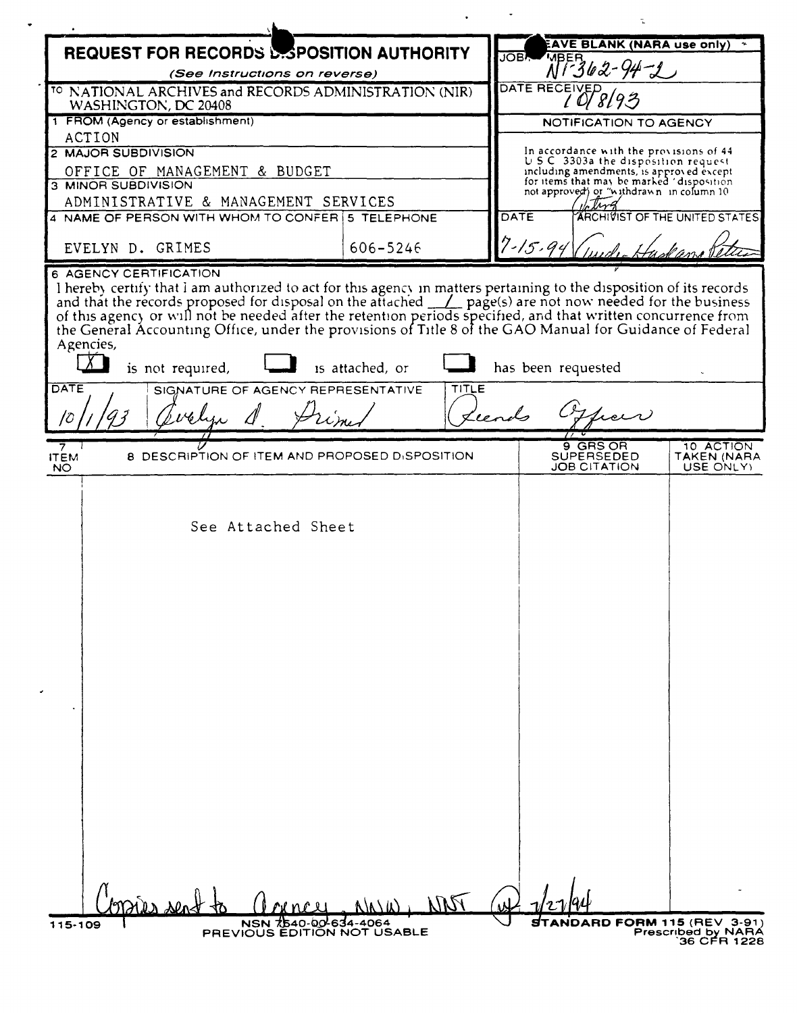| <b>REQUEST FOR RECORDS DISPOSITION AUTHORITY</b>                                                                                                                                                                                                                                                                                                                                                                                   |                                                     |       | <b>EAVE BLANK (NARA use only)</b><br><b>JOBY</b><br>$N1362 - 94 - 1$                  |                                   |  |
|------------------------------------------------------------------------------------------------------------------------------------------------------------------------------------------------------------------------------------------------------------------------------------------------------------------------------------------------------------------------------------------------------------------------------------|-----------------------------------------------------|-------|---------------------------------------------------------------------------------------|-----------------------------------|--|
| (See Instructions on reverse)                                                                                                                                                                                                                                                                                                                                                                                                      |                                                     |       | DATE RECEIVED                                                                         |                                   |  |
| <sup>10</sup> NATIONAL ARCHIVES and RECORDS ADMINISTRATION (NIR)<br>WASHINGTON, DC 20408                                                                                                                                                                                                                                                                                                                                           |                                                     |       |                                                                                       |                                   |  |
| 1 FROM (Agency or establishment)                                                                                                                                                                                                                                                                                                                                                                                                   |                                                     |       | NOTIFICATION TO AGENCY                                                                |                                   |  |
| ACTION                                                                                                                                                                                                                                                                                                                                                                                                                             |                                                     |       |                                                                                       |                                   |  |
| 2 MAJOR SUBDIVISION                                                                                                                                                                                                                                                                                                                                                                                                                |                                                     |       | In accordance with the provisions of 44<br>U.S.C. 3303a the disposition request.      |                                   |  |
| OFFICE OF MANAGEMENT & BUDGET                                                                                                                                                                                                                                                                                                                                                                                                      |                                                     |       | including amendments, is approved except<br>for items that may be marked 'disposition |                                   |  |
| 3 MINOR SUBDIVISION                                                                                                                                                                                                                                                                                                                                                                                                                |                                                     |       | not approved) or "withdrawn in column 10                                              |                                   |  |
| ADMINISTRATIVE & MANAGEMENT SERVICES<br>4 NAME OF PERSON WITH WHOM TO CONFER 5 TELEPHONE                                                                                                                                                                                                                                                                                                                                           |                                                     |       |                                                                                       |                                   |  |
|                                                                                                                                                                                                                                                                                                                                                                                                                                    |                                                     | DATE  |                                                                                       | ARCHIVIST OF THE UNITED STATES    |  |
| EVELYN D. GRIMES                                                                                                                                                                                                                                                                                                                                                                                                                   | 606-5246                                            |       | $7 - 15 - 94$                                                                         |                                   |  |
| and that the records proposed for disposal on the attached $\angle$ page(s) are not now needed for the business<br>of this agency or will not be needed after the retention periods specified, and that written concurrence from<br>the General Accounting Office, under the provisions of Title 8 of the GAO Manual for Guidance of Federal<br>Agencies,<br>is not required,<br><b>DATE</b><br>SIGNATURE OF AGENCY REPRESENTATIVE | is attached, or                                     | TITLE | has been requested<br>heer                                                            |                                   |  |
| <b>8 DESCRIPTION OF ITEM AND PROPOSED DISPOSITION</b><br><b>ITEM</b>                                                                                                                                                                                                                                                                                                                                                               |                                                     |       | 9 GRS OR<br><b>SUPERSEDED</b>                                                         | 10 ACTION<br>TAKEN (NARA          |  |
| See Attached Sheet                                                                                                                                                                                                                                                                                                                                                                                                                 |                                                     |       |                                                                                       |                                   |  |
|                                                                                                                                                                                                                                                                                                                                                                                                                                    | MN                                                  |       |                                                                                       |                                   |  |
| 115-109                                                                                                                                                                                                                                                                                                                                                                                                                            | NSN 7540-00-634-4064<br>PREVIOUS EDITION NOT USABLE |       | <b>STANDARD FORM 115 (REV 3-91)</b>                                                   | Prescribed by NARA<br>36 CFR 1228 |  |

 $\sim 10^{11}$ 

 $\mathbf{L}$